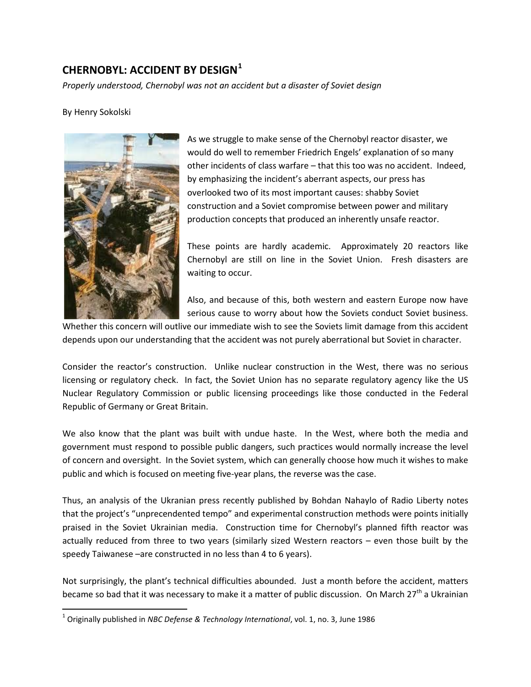## **CHERNOBYL: ACCIDENT BY DESIGN[1](#page-0-0)**

*Properly understood, Chernobyl was not an accident but a disaster of Soviet design*

By Henry Sokolski



As we struggle to make sense of the Chernobyl reactor disaster, we would do well to remember Friedrich Engels' explanation of so many other incidents of class warfare – that this too was no accident. Indeed, by emphasizing the incident's aberrant aspects, our press has overlooked two of its most important causes: shabby Soviet construction and a Soviet compromise between power and military production concepts that produced an inherently unsafe reactor.

These points are hardly academic. Approximately 20 reactors like Chernobyl are still on line in the Soviet Union. Fresh disasters are waiting to occur.

Also, and because of this, both western and eastern Europe now have serious cause to worry about how the Soviets conduct Soviet business.

Whether this concern will outlive our immediate wish to see the Soviets limit damage from this accident depends upon our understanding that the accident was not purely aberrational but Soviet in character.

Consider the reactor's construction. Unlike nuclear construction in the West, there was no serious licensing or regulatory check. In fact, the Soviet Union has no separate regulatory agency like the US Nuclear Regulatory Commission or public licensing proceedings like those conducted in the Federal Republic of Germany or Great Britain.

We also know that the plant was built with undue haste. In the West, where both the media and government must respond to possible public dangers, such practices would normally increase the level of concern and oversight. In the Soviet system, which can generally choose how much it wishes to make public and which is focused on meeting five-year plans, the reverse was the case.

Thus, an analysis of the Ukranian press recently published by Bohdan Nahaylo of Radio Liberty notes that the project's "unprecendented tempo" and experimental construction methods were points initially praised in the Soviet Ukrainian media. Construction time for Chernobyl's planned fifth reactor was actually reduced from three to two years (similarly sized Western reactors – even those built by the speedy Taiwanese –are constructed in no less than 4 to 6 years).

Not surprisingly, the plant's technical difficulties abounded. Just a month before the accident, matters became so bad that it was necessary to make it a matter of public discussion. On March 27<sup>th</sup> a Ukrainian

<span id="page-0-0"></span> <sup>1</sup> Originally published in *NBC Defense & Technology International*, vol. 1, no. 3, June 1986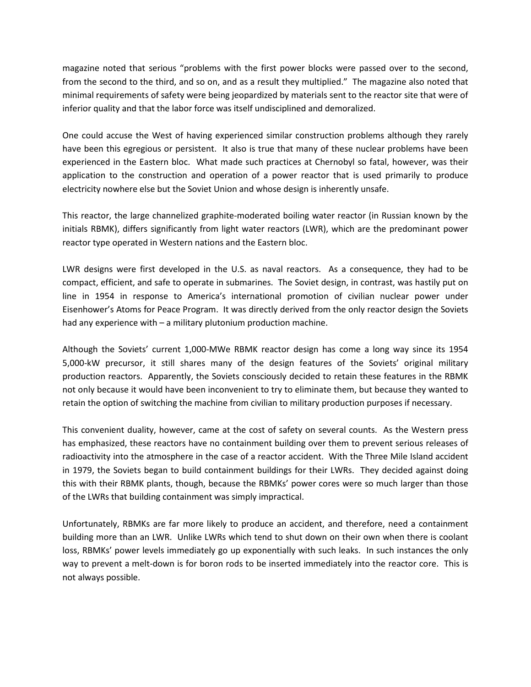magazine noted that serious "problems with the first power blocks were passed over to the second, from the second to the third, and so on, and as a result they multiplied." The magazine also noted that minimal requirements of safety were being jeopardized by materials sent to the reactor site that were of inferior quality and that the labor force was itself undisciplined and demoralized.

One could accuse the West of having experienced similar construction problems although they rarely have been this egregious or persistent. It also is true that many of these nuclear problems have been experienced in the Eastern bloc. What made such practices at Chernobyl so fatal, however, was their application to the construction and operation of a power reactor that is used primarily to produce electricity nowhere else but the Soviet Union and whose design is inherently unsafe.

This reactor, the large channelized graphite-moderated boiling water reactor (in Russian known by the initials RBMK), differs significantly from light water reactors (LWR), which are the predominant power reactor type operated in Western nations and the Eastern bloc.

LWR designs were first developed in the U.S. as naval reactors. As a consequence, they had to be compact, efficient, and safe to operate in submarines. The Soviet design, in contrast, was hastily put on line in 1954 in response to America's international promotion of civilian nuclear power under Eisenhower's Atoms for Peace Program. It was directly derived from the only reactor design the Soviets had any experience with – a military plutonium production machine.

Although the Soviets' current 1,000-MWe RBMK reactor design has come a long way since its 1954 5,000-kW precursor, it still shares many of the design features of the Soviets' original military production reactors. Apparently, the Soviets consciously decided to retain these features in the RBMK not only because it would have been inconvenient to try to eliminate them, but because they wanted to retain the option of switching the machine from civilian to military production purposes if necessary.

This convenient duality, however, came at the cost of safety on several counts. As the Western press has emphasized, these reactors have no containment building over them to prevent serious releases of radioactivity into the atmosphere in the case of a reactor accident. With the Three Mile Island accident in 1979, the Soviets began to build containment buildings for their LWRs. They decided against doing this with their RBMK plants, though, because the RBMKs' power cores were so much larger than those of the LWRs that building containment was simply impractical.

Unfortunately, RBMKs are far more likely to produce an accident, and therefore, need a containment building more than an LWR. Unlike LWRs which tend to shut down on their own when there is coolant loss, RBMKs' power levels immediately go up exponentially with such leaks. In such instances the only way to prevent a melt-down is for boron rods to be inserted immediately into the reactor core. This is not always possible.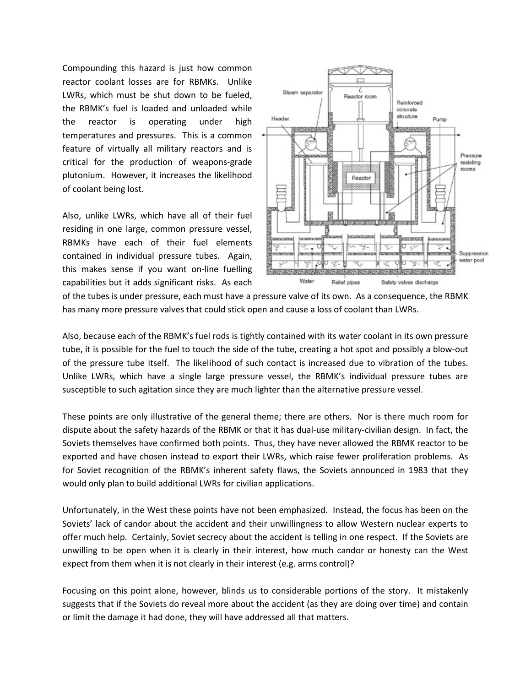Compounding this hazard is just how common reactor coolant losses are for RBMKs. Unlike LWRs, which must be shut down to be fueled, the RBMK's fuel is loaded and unloaded while the reactor is operating under high temperatures and pressures. This is a common feature of virtually all military reactors and is critical for the production of weapons-grade plutonium. However, it increases the likelihood of coolant being lost.

Also, unlike LWRs, which have all of their fuel residing in one large, common pressure vessel, RBMKs have each of their fuel elements contained in individual pressure tubes. Again, this makes sense if you want on-line fuelling capabilities but it adds significant risks. As each



of the tubes is under pressure, each must have a pressure valve of its own. As a consequence, the RBMK has many more pressure valves that could stick open and cause a loss of coolant than LWRs.

Also, because each of the RBMK's fuel rods is tightly contained with its water coolant in its own pressure tube, it is possible for the fuel to touch the side of the tube, creating a hot spot and possibly a blow-out of the pressure tube itself. The likelihood of such contact is increased due to vibration of the tubes. Unlike LWRs, which have a single large pressure vessel, the RBMK's individual pressure tubes are susceptible to such agitation since they are much lighter than the alternative pressure vessel.

These points are only illustrative of the general theme; there are others. Nor is there much room for dispute about the safety hazards of the RBMK or that it has dual-use military-civilian design. In fact, the Soviets themselves have confirmed both points. Thus, they have never allowed the RBMK reactor to be exported and have chosen instead to export their LWRs, which raise fewer proliferation problems. As for Soviet recognition of the RBMK's inherent safety flaws, the Soviets announced in 1983 that they would only plan to build additional LWRs for civilian applications.

Unfortunately, in the West these points have not been emphasized. Instead, the focus has been on the Soviets' lack of candor about the accident and their unwillingness to allow Western nuclear experts to offer much help. Certainly, Soviet secrecy about the accident is telling in one respect. If the Soviets are unwilling to be open when it is clearly in their interest, how much candor or honesty can the West expect from them when it is not clearly in their interest (e.g. arms control)?

Focusing on this point alone, however, blinds us to considerable portions of the story. It mistakenly suggests that if the Soviets do reveal more about the accident (as they are doing over time) and contain or limit the damage it had done, they will have addressed all that matters.